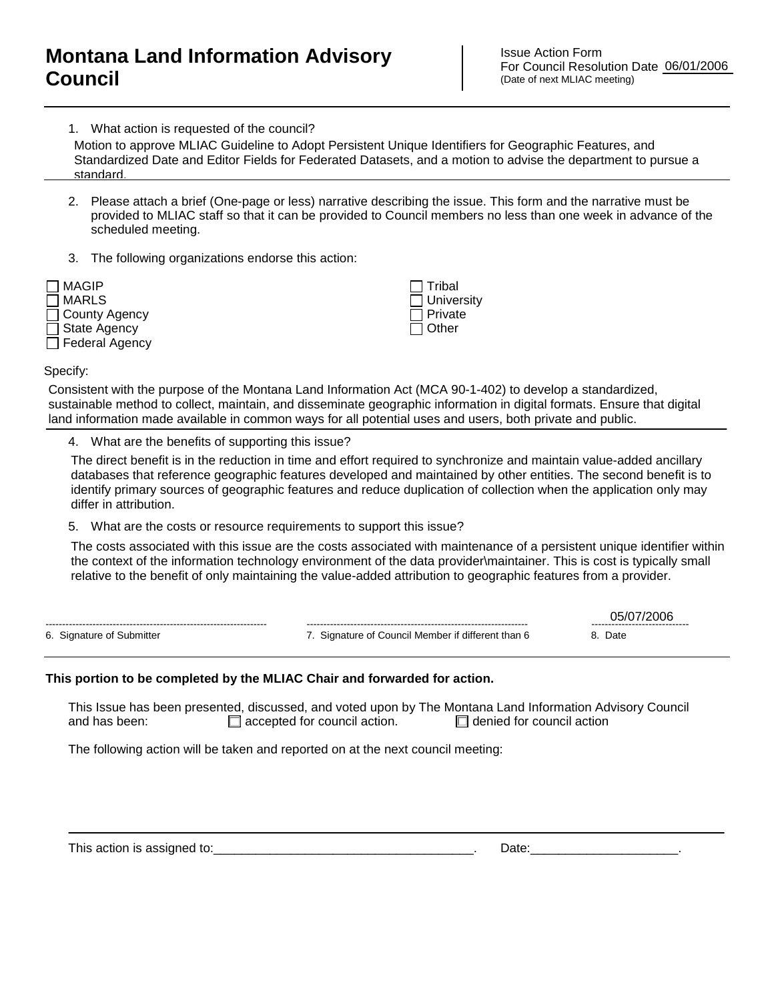## **Montana Land Information Advisory Council**

Issue Action Form For Council Resolution Date (Date of next MLIAC meeting)

1. What action is requested of the council? Standardized Date and Editor Fields for Federated Datasets, and a motion to advise the department to pursue a Motion to approve MLIAC Guideline to Adopt Persistent Unique Identifiers for Geographic Features, and Standardized Date and Editor Fields for Federated Datasets, and a motion to advise the department to p standard.

- 2. Please attach a brief (One-page or less) narrative describing the issue. This form and the narrative must be provided to MLIAC staff so that it can be provided to Council members no less than one week in advance of the scheduled meeting.
- 3. The following organizations endorse this action:



 Tribal **University**  Private  $\Box$  Other

Specify:

Consistent with the purpose of the Montana Land Information Act (MCA 90-1-402) to develop a standardized, sustainable method to collect, maintain, and disseminate geographic information in digital formats. Ensure that digital land information made available in common ways for all potential uses and users, both private and public.

4. What are the benefits of supporting this issue?

The direct benefit is in the reduction in time and effort required to synchronize and maintain value-added ancillary databases that reference geographic features developed and maintained by other entities. The second benefit is to identify primary sources of geographic features and reduce duplication of collection when the application only may differ in attribution. Motion to approve MLAG Guideline to Adopt Persistent Unique Identifiers for Geographic Features, and<br>
Standardized<br>
2. Please attach a brief (One-page or less) narrative describing the issue. This form and the narrative m

5. What are the costs or resource requirements to support this issue?

The costs associated with this issue are the costs associated with maintenance of a persistent unique identifier within the context of the information technology environment of the data provider\maintainer. This is cost is typically small

|                           |                                                    | 05/077<br>------------------------------ |
|---------------------------|----------------------------------------------------|------------------------------------------|
| 6. Signature of Submitter | 7. Signature of Council Member if different than 6 | 8. Date                                  |
|                           |                                                    |                                          |

## **This portion to be completed by the MLIAC Chair and forwarded for action.**

This Issue has been presented, discussed, and voted upon by The Montana Land Information Advisory Council and has been:  $\Box$  accepted for council action.  $\Box$  denied for council action

The following action will be taken and reported on at the next council meeting:

This action is assigned to:\_\_\_\_\_\_\_\_\_\_\_\_\_\_\_\_\_\_\_\_\_\_\_\_\_\_\_\_\_\_\_\_\_\_\_\_\_. Date:\_\_\_\_\_\_\_\_\_\_\_\_\_\_\_\_\_\_\_\_\_.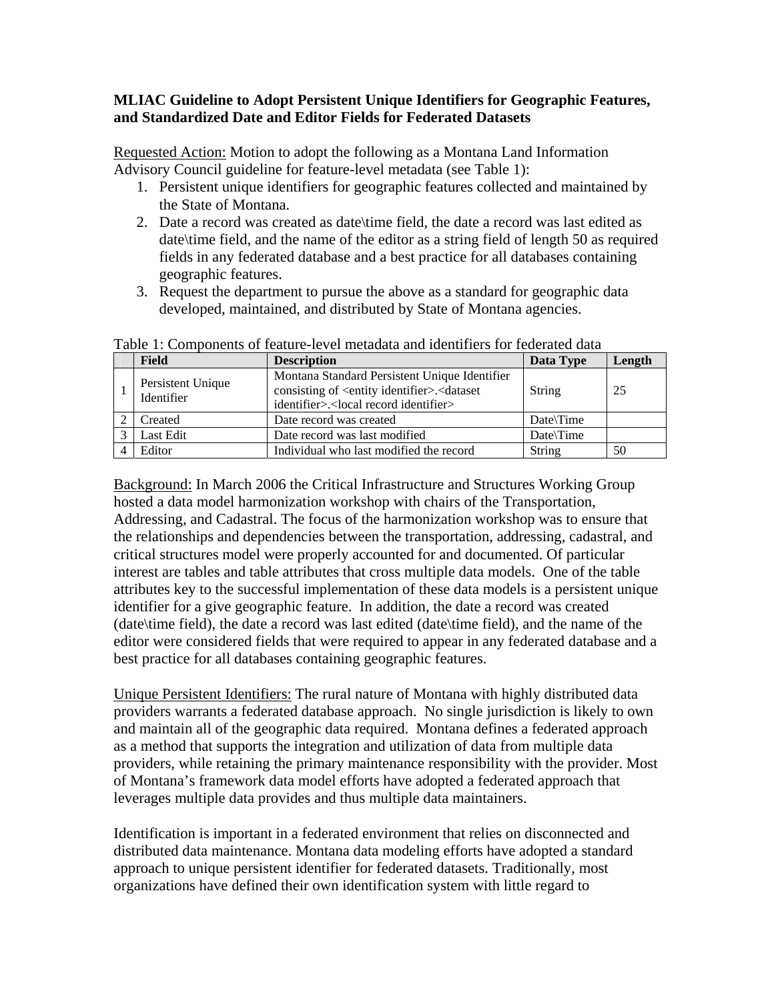## **MLIAC Guideline to Adopt Persistent Unique Identifiers for Geographic Features, and Standardized Date and Editor Fields for Federated Datasets**

Requested Action: Motion to adopt the following as a Montana Land Information Advisory Council guideline for feature-level metadata (see Table 1):

- 1. Persistent unique identifiers for geographic features collected and maintained by the State of Montana.
- 2. Date a record was created as date\time field, the date a record was last edited as date\time field, and the name of the editor as a string field of length 50 as required fields in any federated database and a best practice for all databases containing geographic features.
- 3. Request the department to pursue the above as a standard for geographic data developed, maintained, and distributed by State of Montana agencies.

|  | <b>Field</b>                    | <b>Description</b>                                                                                                                                                             | Data Type | Length |  |  |
|--|---------------------------------|--------------------------------------------------------------------------------------------------------------------------------------------------------------------------------|-----------|--------|--|--|
|  | Persistent Unique<br>Identifier | Montana Standard Persistent Unique Identifier<br>consisting of <entity identifier="">.<dataset<br>identifier&gt;.<local identifier="" record=""></local></dataset<br></entity> | String    | 25     |  |  |
|  | Created                         | Date record was created                                                                                                                                                        | Date\Time |        |  |  |
|  | Last Edit                       | Date record was last modified                                                                                                                                                  | Date\Time |        |  |  |
|  | Editor                          | Individual who last modified the record                                                                                                                                        | String    | 50     |  |  |

Table 1: Components of feature-level metadata and identifiers for federated data

Background: In March 2006 the Critical Infrastructure and Structures Working Group hosted a data model harmonization workshop with chairs of the Transportation, Addressing, and Cadastral. The focus of the harmonization workshop was to ensure that the relationships and dependencies between the transportation, addressing, cadastral, and critical structures model were properly accounted for and documented. Of particular interest are tables and table attributes that cross multiple data models. One of the table attributes key to the successful implementation of these data models is a persistent unique identifier for a give geographic feature. In addition, the date a record was created (date\time field), the date a record was last edited (date\time field), and the name of the editor were considered fields that were required to appear in any federated database and a best practice for all databases containing geographic features.

Unique Persistent Identifiers: The rural nature of Montana with highly distributed data providers warrants a federated database approach. No single jurisdiction is likely to own and maintain all of the geographic data required. Montana defines a federated approach as a method that supports the integration and utilization of data from multiple data providers, while retaining the primary maintenance responsibility with the provider. Most of Montana's framework data model efforts have adopted a federated approach that leverages multiple data provides and thus multiple data maintainers.

Identification is important in a federated environment that relies on disconnected and distributed data maintenance. Montana data modeling efforts have adopted a standard approach to unique persistent identifier for federated datasets. Traditionally, most organizations have defined their own identification system with little regard to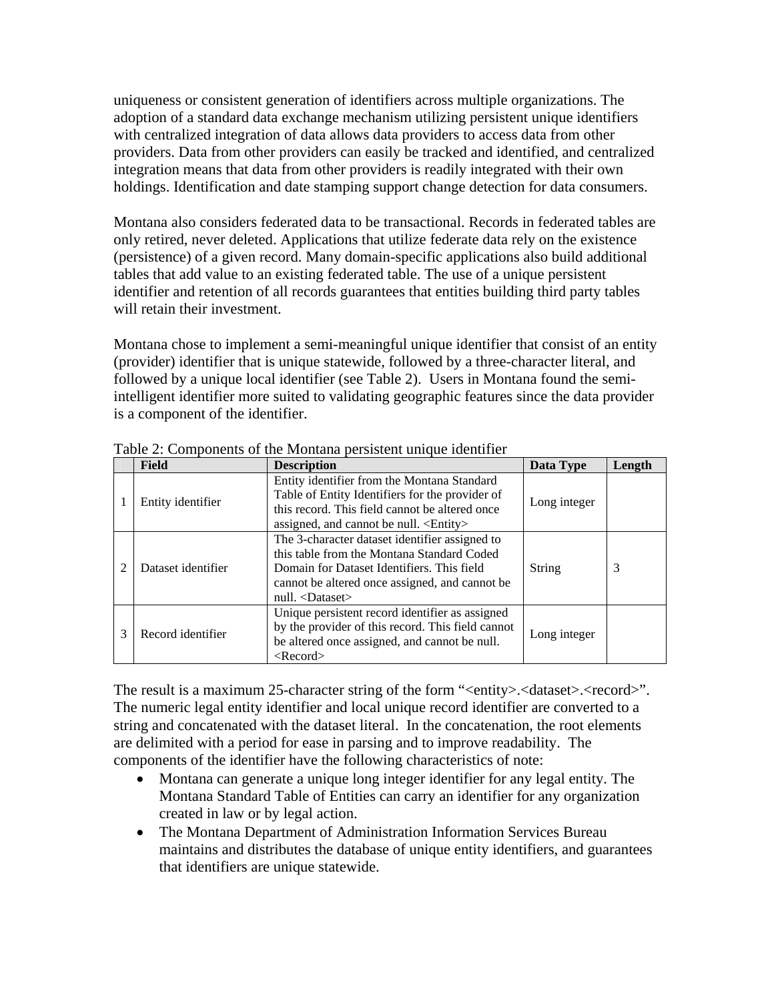uniqueness or consistent generation of identifiers across multiple organizations. The adoption of a standard data exchange mechanism utilizing persistent unique identifiers with centralized integration of data allows data providers to access data from other providers. Data from other providers can easily be tracked and identified, and centralized integration means that data from other providers is readily integrated with their own holdings. Identification and date stamping support change detection for data consumers.

Montana also considers federated data to be transactional. Records in federated tables are only retired, never deleted. Applications that utilize federate data rely on the existence (persistence) of a given record. Many domain-specific applications also build additional tables that add value to an existing federated table. The use of a unique persistent identifier and retention of all records guarantees that entities building third party tables will retain their investment.

Montana chose to implement a semi-meaningful unique identifier that consist of an entity (provider) identifier that is unique statewide, followed by a three-character literal, and followed by a unique local identifier (see Table 2). Users in Montana found the semiintelligent identifier more suited to validating geographic features since the data provider is a component of the identifier.

|   | <b>Field</b>       | <b>Description</b>                                                                                                                                                                                                        | Data Type     | Length |
|---|--------------------|---------------------------------------------------------------------------------------------------------------------------------------------------------------------------------------------------------------------------|---------------|--------|
|   | Entity identifier  | Entity identifier from the Montana Standard<br>Table of Entity Identifiers for the provider of<br>this record. This field cannot be altered once<br>assigned, and cannot be null. <entity></entity>                       | Long integer  |        |
| っ | Dataset identifier | The 3-character dataset identifier assigned to<br>this table from the Montana Standard Coded<br>Domain for Dataset Identifiers. This field<br>cannot be altered once assigned, and cannot be<br>null. <dataset></dataset> | <b>String</b> | 3      |
| 3 | Record identifier  | Unique persistent record identifier as assigned<br>by the provider of this record. This field cannot<br>be altered once assigned, and cannot be null.<br>$<$ Record $>$                                                   | Long integer  |        |

Table 2: Components of the Montana persistent unique identifier

The result is a maximum 25-character string of the form "<entity>.<dataset>.<record>". The numeric legal entity identifier and local unique record identifier are converted to a string and concatenated with the dataset literal. In the concatenation, the root elements are delimited with a period for ease in parsing and to improve readability. The components of the identifier have the following characteristics of note:

- Montana can generate a unique long integer identifier for any legal entity. The Montana Standard Table of Entities can carry an identifier for any organization created in law or by legal action.
- The Montana Department of Administration Information Services Bureau maintains and distributes the database of unique entity identifiers, and guarantees that identifiers are unique statewide.